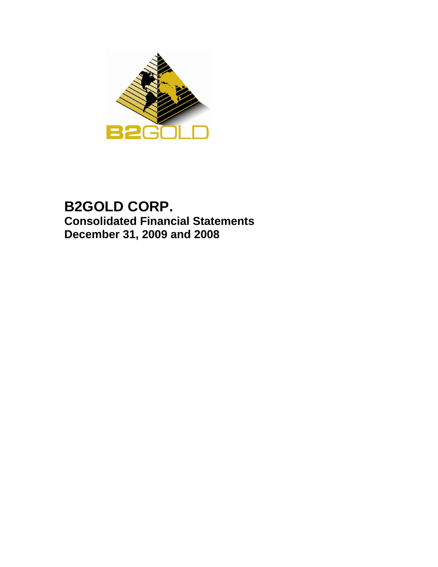

# **B2GOLD CORP. Consolidated Financial Statements December 31, 2009 and 2008**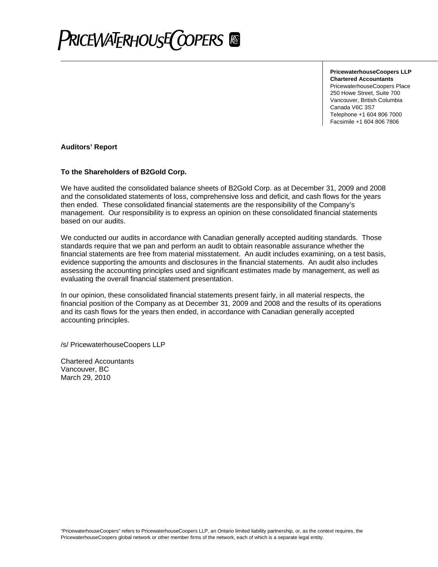

**PricewaterhouseCoopers LLP Chartered Accountants** PricewaterhouseCoopers Place 250 Howe Street, Suite 700 Vancouver, British Columbia Canada V6C 3S7 Telephone +1 604 806 7000 Facsimile +1 604 806 7806

#### **Auditors' Report**

#### **To the Shareholders of B2Gold Corp.**

We have audited the consolidated balance sheets of B2Gold Corp. as at December 31, 2009 and 2008 and the consolidated statements of loss, comprehensive loss and deficit, and cash flows for the years then ended. These consolidated financial statements are the responsibility of the Company's management. Our responsibility is to express an opinion on these consolidated financial statements based on our audits.

We conducted our audits in accordance with Canadian generally accepted auditing standards. Those standards require that we pan and perform an audit to obtain reasonable assurance whether the financial statements are free from material misstatement. An audit includes examining, on a test basis, evidence supporting the amounts and disclosures in the financial statements. An audit also includes assessing the accounting principles used and significant estimates made by management, as well as evaluating the overall financial statement presentation.

In our opinion, these consolidated financial statements present fairly, in all material respects, the financial position of the Company as at December 31, 2009 and 2008 and the results of its operations and its cash flows for the years then ended, in accordance with Canadian generally accepted accounting principles.

/s/ PricewaterhouseCoopers LLP

Chartered Accountants Vancouver, BC March 29, 2010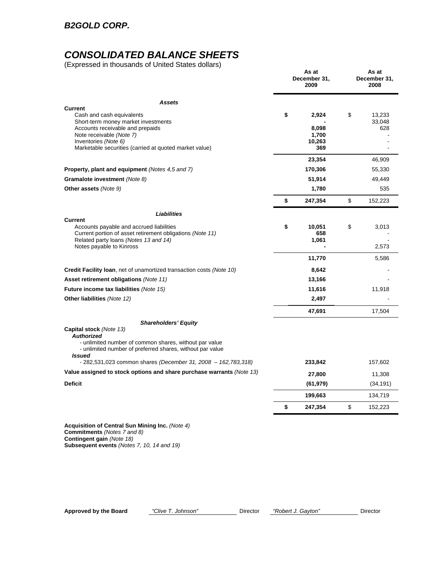# *CONSOLIDATED BALANCE SHEETS*

(Expressed in thousands of United States dollars)

|                                                                                                                                                                                                                            | As at<br>December 31,<br>2009 | As at<br>December 31,<br>2008 |
|----------------------------------------------------------------------------------------------------------------------------------------------------------------------------------------------------------------------------|-------------------------------|-------------------------------|
| <b>Assets</b>                                                                                                                                                                                                              |                               |                               |
| <b>Current</b><br>Cash and cash equivalents<br>Short-term money market investments                                                                                                                                         | \$<br>2,924<br>8,098          | \$<br>13,233<br>33,048<br>628 |
| Accounts receivable and prepaids<br>Note receivable (Note 7)<br>Inventories (Note 6)<br>Marketable securities (carried at quoted market value)                                                                             | 1,700<br>10,263<br>369        |                               |
|                                                                                                                                                                                                                            | 23,354                        | 46,909                        |
| <b>Property, plant and equipment</b> (Notes 4,5 and 7)                                                                                                                                                                     | 170,306                       | 55,330                        |
| Gramalote investment (Note 8)                                                                                                                                                                                              | 51,914                        | 49,449                        |
| Other assets (Note 9)                                                                                                                                                                                                      | 1,780                         | 535                           |
|                                                                                                                                                                                                                            | \$<br>247,354                 | \$<br>152,223                 |
| Liabilities                                                                                                                                                                                                                |                               |                               |
| <b>Current</b><br>Accounts payable and accrued liabilities<br>Current portion of asset retirement obligations (Note 11)<br>Related party loans (Notes 13 and 14)<br>Notes payable to Kinross                               | \$<br>10,051<br>658<br>1,061  | \$<br>3,013<br>2,573          |
|                                                                                                                                                                                                                            | 11,770                        | 5,586                         |
| <b>Credit Facility Ioan, net of unamortized transaction costs (Note 10)</b>                                                                                                                                                | 8,642                         |                               |
| <b>Asset retirement obligations (Note 11)</b>                                                                                                                                                                              | 13,166                        |                               |
| Future income tax liabilities (Note 15)                                                                                                                                                                                    | 11,616                        | 11,918                        |
| Other liabilities (Note 12)                                                                                                                                                                                                | 2,497                         |                               |
|                                                                                                                                                                                                                            | 47,691                        | 17,504                        |
| <b>Shareholders' Equity</b><br><b>Capital stock</b> (Note 13)<br><b>Authorized</b><br>- unlimited number of common shares, without par value<br>- unlimited number of preferred shares, without par value<br><b>Issued</b> |                               |                               |
| $-282,531,023$ common shares (December 31, 2008 - 162,783,318)                                                                                                                                                             | 233,842                       | 157,602                       |
| Value assigned to stock options and share purchase warrants (Note 13)                                                                                                                                                      | 27,800                        | 11,308                        |
| <b>Deficit</b>                                                                                                                                                                                                             | (61, 979)                     | (34, 191)                     |
|                                                                                                                                                                                                                            | 199,663                       | 134,719                       |
|                                                                                                                                                                                                                            | \$<br>247,354                 | \$<br>152,223                 |
|                                                                                                                                                                                                                            |                               |                               |

**Acquisition of Central Sun Mining Inc.** *(Note 4)*  **Commitments** *(Notes 7 and 8)*  **Contingent gain** *(Note 18)*  **Subsequent events** *(Notes 7, 10, 14 and 19)*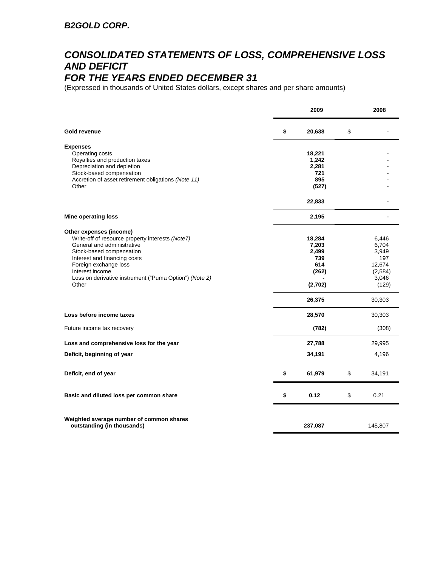# *CONSOLIDATED STATEMENTS OF LOSS, COMPREHENSIVE LOSS AND DEFICIT*

## *FOR THE YEARS ENDED DECEMBER 31*

(Expressed in thousands of United States dollars, except shares and per share amounts)

|                                                                        | 2009         | 2008          |
|------------------------------------------------------------------------|--------------|---------------|
| Gold revenue                                                           | \$<br>20,638 | \$            |
| <b>Expenses</b>                                                        |              |               |
| Operating costs                                                        | 18,221       |               |
| Royalties and production taxes                                         | 1,242        |               |
| Depreciation and depletion                                             | 2,281        |               |
| Stock-based compensation                                               | 721          |               |
| Accretion of asset retirement obligations (Note 11)                    | 895          |               |
| Other                                                                  | (527)        |               |
|                                                                        | 22,833       |               |
| <b>Mine operating loss</b>                                             | 2,195        |               |
| Other expenses (income)                                                |              |               |
| Write-off of resource property interests (Note7)                       | 18,284       | 6,446         |
| General and administrative                                             | 7,203        | 6,704         |
| Stock-based compensation                                               | 2,499        | 3,949         |
| Interest and financing costs<br>Foreign exchange loss                  | 739<br>614   | 197<br>12,674 |
| Interest income                                                        | (262)        | (2,584)       |
| Loss on derivative instrument ("Puma Option") (Note 2)                 |              | 3,046         |
| Other                                                                  | (2,702)      | (129)         |
|                                                                        | 26,375       | 30,303        |
| Loss before income taxes                                               | 28,570       | 30,303        |
| Future income tax recovery                                             | (782)        | (308)         |
| Loss and comprehensive loss for the year                               | 27,788       | 29,995        |
| Deficit, beginning of year                                             | 34,191       | 4,196         |
| Deficit, end of year                                                   | \$<br>61,979 | \$<br>34,191  |
| Basic and diluted loss per common share                                | \$<br>0.12   | \$<br>0.21    |
|                                                                        |              |               |
| Weighted average number of common shares<br>outstanding (in thousands) | 237,087      | 145,807       |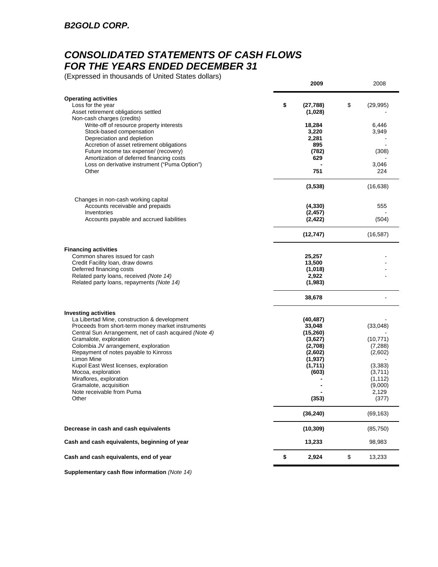## *CONSOLIDATED STATEMENTS OF CASH FLOWS FOR THE YEARS ENDED DECEMBER 31*

(Expressed in thousands of United States dollars)

|                                                                                                                                                                                                                                                                                                                                                                                                                                         | 2009                                                                                              | 2008                                                                                      |
|-----------------------------------------------------------------------------------------------------------------------------------------------------------------------------------------------------------------------------------------------------------------------------------------------------------------------------------------------------------------------------------------------------------------------------------------|---------------------------------------------------------------------------------------------------|-------------------------------------------------------------------------------------------|
| <b>Operating activities</b><br>Loss for the year<br>Asset retirement obligations settled                                                                                                                                                                                                                                                                                                                                                | \$<br>(27, 788)<br>(1,028)                                                                        | \$<br>(29, 995)                                                                           |
| Non-cash charges (credits)<br>Write-off of resource property interests<br>Stock-based compensation<br>Depreciation and depletion<br>Accretion of asset retirement obligations                                                                                                                                                                                                                                                           | 18,284<br>3,220<br>2,281<br>895                                                                   | 6,446<br>3,949                                                                            |
| Future income tax expense/ (recovery)<br>Amortization of deferred financing costs                                                                                                                                                                                                                                                                                                                                                       | (782)<br>629                                                                                      | (308)                                                                                     |
| Loss on derivative instrument ("Puma Option")<br>Other                                                                                                                                                                                                                                                                                                                                                                                  | 751                                                                                               | 3,046<br>224                                                                              |
|                                                                                                                                                                                                                                                                                                                                                                                                                                         | (3, 538)                                                                                          | (16, 638)                                                                                 |
| Changes in non-cash working capital<br>Accounts receivable and prepaids<br>Inventories                                                                                                                                                                                                                                                                                                                                                  | (4, 330)<br>(2, 457)                                                                              | 555                                                                                       |
| Accounts payable and accrued liabilities                                                                                                                                                                                                                                                                                                                                                                                                | (2, 422)                                                                                          | (504)                                                                                     |
|                                                                                                                                                                                                                                                                                                                                                                                                                                         | (12, 747)                                                                                         | (16, 587)                                                                                 |
| <b>Financing activities</b><br>Common shares issued for cash<br>Credit Facility Ioan, draw downs<br>Deferred financing costs<br>Related party loans, received (Note 14)<br>Related party loans, repayments (Note 14)                                                                                                                                                                                                                    | 25,257<br>13,500<br>(1,018)<br>2,922<br>(1,983)                                                   |                                                                                           |
|                                                                                                                                                                                                                                                                                                                                                                                                                                         | 38,678                                                                                            |                                                                                           |
| <b>Investing activities</b><br>La Libertad Mine, construction & development<br>Proceeds from short-term money market instruments<br>Central Sun Arrangement, net of cash acquired (Note 4)<br>Gramalote, exploration<br>Colombia JV arrangement, exploration<br>Repayment of notes payable to Kinross<br>Limon Mine<br>Kupol East West licenses, exploration<br>Mocoa, exploration<br>Miraflores, exploration<br>Gramalote, acquisition | (40, 487)<br>33,048<br>(15, 260)<br>(3,627)<br>(2,708)<br>(2,602)<br>(1, 937)<br>(1,711)<br>(603) | (33,048)<br>(10, 771)<br>(7, 288)<br>(2,602)<br>(3,383)<br>(3,711)<br>(1, 112)<br>(9,000) |
| Note receivable from Puma<br>Other                                                                                                                                                                                                                                                                                                                                                                                                      | (353)                                                                                             | 2,129<br>(377)                                                                            |
|                                                                                                                                                                                                                                                                                                                                                                                                                                         | (36, 240)                                                                                         | (69, 163)                                                                                 |
| Decrease in cash and cash equivalents                                                                                                                                                                                                                                                                                                                                                                                                   | (10, 309)                                                                                         | (85, 750)                                                                                 |
| Cash and cash equivalents, beginning of year                                                                                                                                                                                                                                                                                                                                                                                            | 13,233                                                                                            | 98,983                                                                                    |
| Cash and cash equivalents, end of year                                                                                                                                                                                                                                                                                                                                                                                                  | \$<br>2,924                                                                                       | \$<br>13,233                                                                              |

**Supplementary cash flow information** *(Note 14)*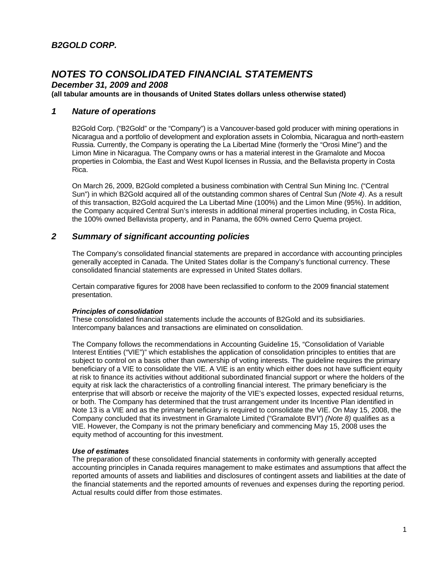*December 31, 2009 and 2008* 

**(all tabular amounts are in thousands of United States dollars unless otherwise stated)**

### *1 Nature of operations*

B2Gold Corp. ("B2Gold" or the "Company") is a Vancouver-based gold producer with mining operations in Nicaragua and a portfolio of development and exploration assets in Colombia, Nicaragua and north-eastern Russia. Currently, the Company is operating the La Libertad Mine (formerly the "Orosi Mine") and the Limon Mine in Nicaragua. The Company owns or has a material interest in the Gramalote and Mocoa properties in Colombia, the East and West Kupol licenses in Russia, and the Bellavista property in Costa Rica.

On March 26, 2009, B2Gold completed a business combination with Central Sun Mining Inc. ("Central Sun") in which B2Gold acquired all of the outstanding common shares of Central Sun *(Note 4)*. As a result of this transaction, B2Gold acquired the La Libertad Mine (100%) and the Limon Mine (95%). In addition, the Company acquired Central Sun's interests in additional mineral properties including, in Costa Rica, the 100% owned Bellavista property, and in Panama, the 60% owned Cerro Quema project.

### *2 Summary of significant accounting policies*

The Company's consolidated financial statements are prepared in accordance with accounting principles generally accepted in Canada. The United States dollar is the Company's functional currency. These consolidated financial statements are expressed in United States dollars.

Certain comparative figures for 2008 have been reclassified to conform to the 2009 financial statement presentation.

#### *Principles of consolidation*

These consolidated financial statements include the accounts of B2Gold and its subsidiaries. Intercompany balances and transactions are eliminated on consolidation.

The Company follows the recommendations in Accounting Guideline 15, "Consolidation of Variable Interest Entities ("VIE")" which establishes the application of consolidation principles to entities that are subject to control on a basis other than ownership of voting interests. The guideline requires the primary beneficiary of a VIE to consolidate the VIE. A VIE is an entity which either does not have sufficient equity at risk to finance its activities without additional subordinated financial support or where the holders of the equity at risk lack the characteristics of a controlling financial interest. The primary beneficiary is the enterprise that will absorb or receive the majority of the VIE's expected losses, expected residual returns, or both. The Company has determined that the trust arrangement under its Incentive Plan identified in Note 13 is a VIE and as the primary beneficiary is required to consolidate the VIE. On May 15, 2008, the Company concluded that its investment in Gramalote Limited ("Gramalote BVI") *(Note 8)* qualifies as a VIE. However, the Company is not the primary beneficiary and commencing May 15, 2008 uses the equity method of accounting for this investment.

#### *Use of estimates*

The preparation of these consolidated financial statements in conformity with generally accepted accounting principles in Canada requires management to make estimates and assumptions that affect the reported amounts of assets and liabilities and disclosures of contingent assets and liabilities at the date of the financial statements and the reported amounts of revenues and expenses during the reporting period. Actual results could differ from those estimates.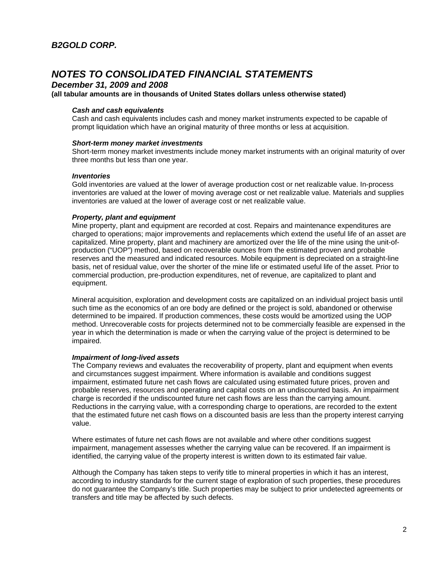### *December 31, 2009 and 2008*

#### **(all tabular amounts are in thousands of United States dollars unless otherwise stated)**

#### *Cash and cash equivalents*

Cash and cash equivalents includes cash and money market instruments expected to be capable of prompt liquidation which have an original maturity of three months or less at acquisition.

#### *Short-term money market investments*

Short-term money market investments include money market instruments with an original maturity of over three months but less than one year.

#### *Inventories*

Gold inventories are valued at the lower of average production cost or net realizable value. In-process inventories are valued at the lower of moving average cost or net realizable value. Materials and supplies inventories are valued at the lower of average cost or net realizable value.

#### *Property, plant and equipment*

Mine property, plant and equipment are recorded at cost. Repairs and maintenance expenditures are charged to operations; major improvements and replacements which extend the useful life of an asset are capitalized. Mine property, plant and machinery are amortized over the life of the mine using the unit-ofproduction ("UOP") method, based on recoverable ounces from the estimated proven and probable reserves and the measured and indicated resources. Mobile equipment is depreciated on a straight-line basis, net of residual value, over the shorter of the mine life or estimated useful life of the asset. Prior to commercial production, pre-production expenditures, net of revenue, are capitalized to plant and equipment.

Mineral acquisition, exploration and development costs are capitalized on an individual project basis until such time as the economics of an ore body are defined or the project is sold, abandoned or otherwise determined to be impaired. If production commences, these costs would be amortized using the UOP method. Unrecoverable costs for projects determined not to be commercially feasible are expensed in the year in which the determination is made or when the carrying value of the project is determined to be impaired.

#### *Impairment of long-lived assets*

The Company reviews and evaluates the recoverability of property, plant and equipment when events and circumstances suggest impairment. Where information is available and conditions suggest impairment, estimated future net cash flows are calculated using estimated future prices, proven and probable reserves, resources and operating and capital costs on an undiscounted basis. An impairment charge is recorded if the undiscounted future net cash flows are less than the carrying amount. Reductions in the carrying value, with a corresponding charge to operations, are recorded to the extent that the estimated future net cash flows on a discounted basis are less than the property interest carrying value.

Where estimates of future net cash flows are not available and where other conditions suggest impairment, management assesses whether the carrying value can be recovered. If an impairment is identified, the carrying value of the property interest is written down to its estimated fair value.

Although the Company has taken steps to verify title to mineral properties in which it has an interest, according to industry standards for the current stage of exploration of such properties, these procedures do not guarantee the Company's title. Such properties may be subject to prior undetected agreements or transfers and title may be affected by such defects.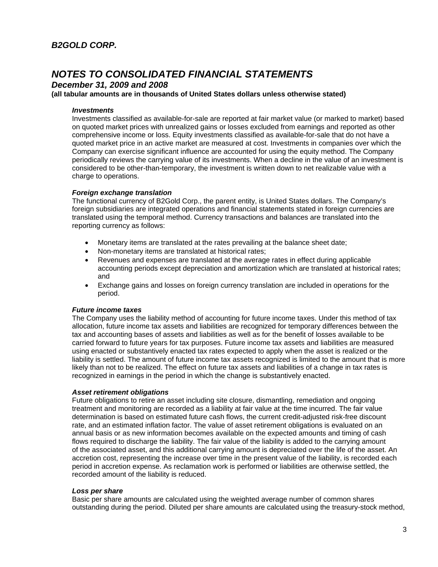*December 31, 2009 and 2008* 

**(all tabular amounts are in thousands of United States dollars unless otherwise stated)**

#### *Investments*

Investments classified as available-for-sale are reported at fair market value (or marked to market) based on quoted market prices with unrealized gains or losses excluded from earnings and reported as other comprehensive income or loss. Equity investments classified as available-for-sale that do not have a quoted market price in an active market are measured at cost. Investments in companies over which the Company can exercise significant influence are accounted for using the equity method. The Company periodically reviews the carrying value of its investments. When a decline in the value of an investment is considered to be other-than-temporary, the investment is written down to net realizable value with a charge to operations.

### *Foreign exchange translation*

The functional currency of B2Gold Corp., the parent entity, is United States dollars. The Company's foreign subsidiaries are integrated operations and financial statements stated in foreign currencies are translated using the temporal method. Currency transactions and balances are translated into the reporting currency as follows:

- Monetary items are translated at the rates prevailing at the balance sheet date;
- Non-monetary items are translated at historical rates;
- Revenues and expenses are translated at the average rates in effect during applicable accounting periods except depreciation and amortization which are translated at historical rates; and
- Exchange gains and losses on foreign currency translation are included in operations for the period.

#### *Future income taxes*

The Company uses the liability method of accounting for future income taxes. Under this method of tax allocation, future income tax assets and liabilities are recognized for temporary differences between the tax and accounting bases of assets and liabilities as well as for the benefit of losses available to be carried forward to future years for tax purposes. Future income tax assets and liabilities are measured using enacted or substantively enacted tax rates expected to apply when the asset is realized or the liability is settled. The amount of future income tax assets recognized is limited to the amount that is more likely than not to be realized. The effect on future tax assets and liabilities of a change in tax rates is recognized in earnings in the period in which the change is substantively enacted.

#### *Asset retirement obligations*

Future obligations to retire an asset including site closure, dismantling, remediation and ongoing treatment and monitoring are recorded as a liability at fair value at the time incurred. The fair value determination is based on estimated future cash flows, the current credit-adjusted risk-free discount rate, and an estimated inflation factor. The value of asset retirement obligations is evaluated on an annual basis or as new information becomes available on the expected amounts and timing of cash flows required to discharge the liability. The fair value of the liability is added to the carrying amount of the associated asset, and this additional carrying amount is depreciated over the life of the asset. An accretion cost, representing the increase over time in the present value of the liability, is recorded each period in accretion expense. As reclamation work is performed or liabilities are otherwise settled, the recorded amount of the liability is reduced.

#### *Loss per share*

Basic per share amounts are calculated using the weighted average number of common shares outstanding during the period. Diluted per share amounts are calculated using the treasury-stock method,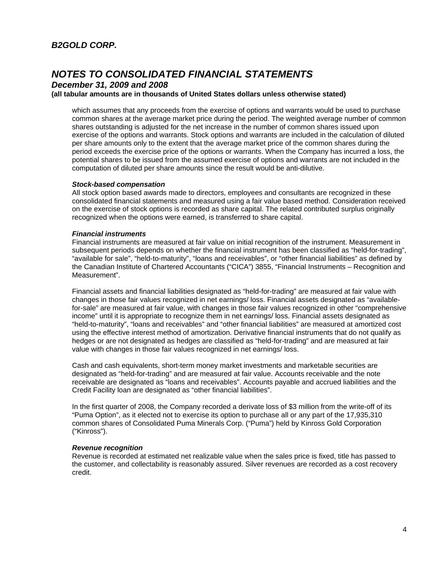*December 31, 2009 and 2008* 

#### **(all tabular amounts are in thousands of United States dollars unless otherwise stated)**

which assumes that any proceeds from the exercise of options and warrants would be used to purchase common shares at the average market price during the period. The weighted average number of common shares outstanding is adjusted for the net increase in the number of common shares issued upon exercise of the options and warrants. Stock options and warrants are included in the calculation of diluted per share amounts only to the extent that the average market price of the common shares during the period exceeds the exercise price of the options or warrants. When the Company has incurred a loss, the potential shares to be issued from the assumed exercise of options and warrants are not included in the computation of diluted per share amounts since the result would be anti-dilutive.

#### *Stock-based compensation*

All stock option based awards made to directors, employees and consultants are recognized in these consolidated financial statements and measured using a fair value based method. Consideration received on the exercise of stock options is recorded as share capital. The related contributed surplus originally recognized when the options were earned, is transferred to share capital.

### *Financial instruments*

Financial instruments are measured at fair value on initial recognition of the instrument. Measurement in subsequent periods depends on whether the financial instrument has been classified as "held-for-trading", "available for sale", "held-to-maturity", "loans and receivables", or "other financial liabilities" as defined by the Canadian Institute of Chartered Accountants ("CICA") 3855, "Financial Instruments – Recognition and Measurement".

Financial assets and financial liabilities designated as "held-for-trading" are measured at fair value with changes in those fair values recognized in net earnings/ loss. Financial assets designated as "availablefor-sale" are measured at fair value, with changes in those fair values recognized in other "comprehensive income" until it is appropriate to recognize them in net earnings/ loss. Financial assets designated as "held-to-maturity", "loans and receivables" and "other financial liabilities" are measured at amortized cost using the effective interest method of amortization. Derivative financial instruments that do not qualify as hedges or are not designated as hedges are classified as "held-for-trading" and are measured at fair value with changes in those fair values recognized in net earnings/ loss.

Cash and cash equivalents, short-term money market investments and marketable securities are designated as "held-for-trading" and are measured at fair value. Accounts receivable and the note receivable are designated as "loans and receivables". Accounts payable and accrued liabilities and the Credit Facility loan are designated as "other financial liabilities".

In the first quarter of 2008, the Company recorded a derivate loss of \$3 million from the write-off of its "Puma Option", as it elected not to exercise its option to purchase all or any part of the 17,935,310 common shares of Consolidated Puma Minerals Corp. ("Puma") held by Kinross Gold Corporation ("Kinross").

#### *Revenue recognition*

Revenue is recorded at estimated net realizable value when the sales price is fixed, title has passed to the customer, and collectability is reasonably assured. Silver revenues are recorded as a cost recovery credit.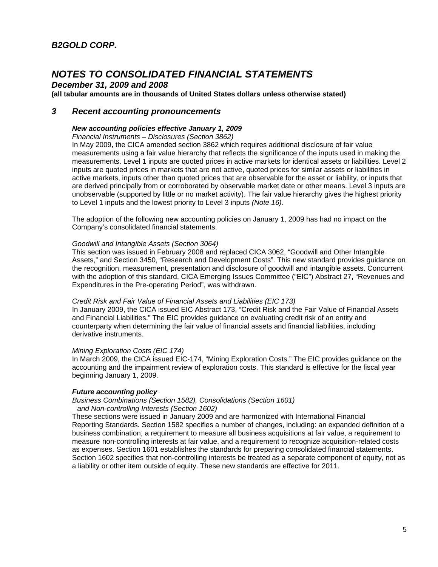*December 31, 2009 and 2008* 

#### **(all tabular amounts are in thousands of United States dollars unless otherwise stated)**

### *3 Recent accounting pronouncements*

#### *New accounting policies effective January 1, 2009*

*Financial Instruments – Disclosures (Section 3862)* 

In May 2009, the CICA amended section 3862 which requires additional disclosure of fair value measurements using a fair value hierarchy that reflects the significance of the inputs used in making the measurements. Level 1 inputs are quoted prices in active markets for identical assets or liabilities. Level 2 inputs are quoted prices in markets that are not active, quoted prices for similar assets or liabilities in active markets, inputs other than quoted prices that are observable for the asset or liability, or inputs that are derived principally from or corroborated by observable market date or other means. Level 3 inputs are unobservable (supported by little or no market activity). The fair value hierarchy gives the highest priority to Level 1 inputs and the lowest priority to Level 3 inputs *(Note 16).*

The adoption of the following new accounting policies on January 1, 2009 has had no impact on the Company's consolidated financial statements.

#### *Goodwill and Intangible Assets (Section 3064)*

This section was issued in February 2008 and replaced CICA 3062, "Goodwill and Other Intangible Assets," and Section 3450, "Research and Development Costs". This new standard provides guidance on the recognition, measurement, presentation and disclosure of goodwill and intangible assets. Concurrent with the adoption of this standard, CICA Emerging Issues Committee ("EIC") Abstract 27, "Revenues and Expenditures in the Pre-operating Period", was withdrawn.

#### *Credit Risk and Fair Value of Financial Assets and Liabilities (EIC 173)*

In January 2009, the CICA issued EIC Abstract 173, "Credit Risk and the Fair Value of Financial Assets and Financial Liabilities." The EIC provides guidance on evaluating credit risk of an entity and counterparty when determining the fair value of financial assets and financial liabilities, including derivative instruments.

#### *Mining Exploration Costs (EIC 174)*

In March 2009, the CICA issued EIC-174, "Mining Exploration Costs." The EIC provides guidance on the accounting and the impairment review of exploration costs. This standard is effective for the fiscal year beginning January 1, 2009.

#### *Future accounting policy*

*Business Combinations (Section 1582), Consolidations (Section 1601) and Non-controlling Interests (Section 1602)* 

These sections were issued in January 2009 and are harmonized with International Financial<br>Reporting Standards. Section 1582 specifies a number of changes, including: an expanded definition of a business combination, a requirement to measure all business acquisitions at fair value, a requirement to measure non-controlling interests at fair value, and a requirement to recognize acquisition-related costs as expenses. Section 1601 establishes the standards for preparing consolidated financial statements. Section 1602 specifies that non-controlling interests be treated as a separate component of equity, not as a liability or other item outside of equity. These new standards are effective for 2011.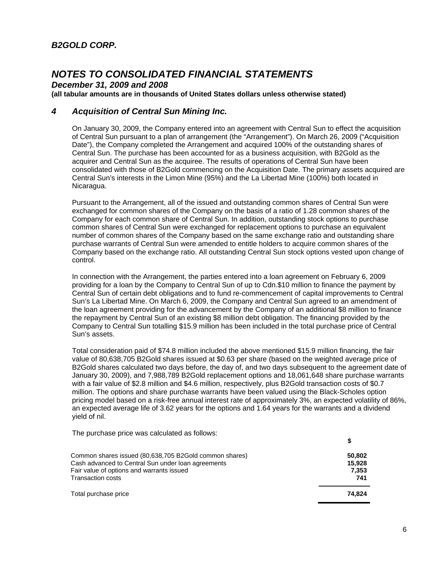*December 31, 2009 and 2008* 

**(all tabular amounts are in thousands of United States dollars unless otherwise stated)**

### *4 Acquisition of Central Sun Mining Inc.*

On January 30, 2009, the Company entered into an agreement with Central Sun to effect the acquisition of Central Sun pursuant to a plan of arrangement (the "Arrangement"). On March 26, 2009 ("Acquisition Date"), the Company completed the Arrangement and acquired 100% of the outstanding shares of Central Sun. The purchase has been accounted for as a business acquisition, with B2Gold as the acquirer and Central Sun as the acquiree. The results of operations of Central Sun have been consolidated with those of B2Gold commencing on the Acquisition Date. The primary assets acquired are Central Sun's interests in the Limon Mine (95%) and the La Libertad Mine (100%) both located in Nicaragua.

Pursuant to the Arrangement, all of the issued and outstanding common shares of Central Sun were exchanged for common shares of the Company on the basis of a ratio of 1.28 common shares of the Company for each common share of Central Sun. In addition, outstanding stock options to purchase common shares of Central Sun were exchanged for replacement options to purchase an equivalent number of common shares of the Company based on the same exchange ratio and outstanding share purchase warrants of Central Sun were amended to entitle holders to acquire common shares of the Company based on the exchange ratio. All outstanding Central Sun stock options vested upon change of control.

In connection with the Arrangement, the parties entered into a loan agreement on February 6, 2009 providing for a loan by the Company to Central Sun of up to Cdn.\$10 million to finance the payment by Central Sun of certain debt obligations and to fund re-commencement of capital improvements to Central Sun's La Libertad Mine. On March 6, 2009, the Company and Central Sun agreed to an amendment of the loan agreement providing for the advancement by the Company of an additional \$8 million to finance the repayment by Central Sun of an existing \$8 million debt obligation. The financing provided by the Company to Central Sun totalling \$15.9 million has been included in the total purchase price of Central Sun's assets.

Total consideration paid of \$74.8 million included the above mentioned \$15.9 million financing, the fair value of 80,638,705 B2Gold shares issued at \$0.63 per share (based on the weighted average price of B2Gold shares calculated two days before, the day of, and two days subsequent to the agreement date of January 30, 2009), and 7,988,789 B2Gold replacement options and 18,061,648 share purchase warrants with a fair value of \$2.8 million and \$4.6 million, respectively, plus B2Gold transaction costs of \$0.7 million. The options and share purchase warrants have been valued using the Black-Scholes option pricing model based on a risk-free annual interest rate of approximately 3%, an expected volatility of 86%, an expected average life of 3.62 years for the options and 1.64 years for the warrants and a dividend yield of nil.

The purchase price was calculated as follows:

| Common shares issued (80,638,705 B2Gold common shares) | 50.802 |
|--------------------------------------------------------|--------|
| Cash advanced to Central Sun under loan agreements     | 15.928 |
| Fair value of options and warrants issued              | 7.353  |
| <b>Transaction costs</b>                               | 741    |
| Total purchase price                                   | 74.824 |

**\$**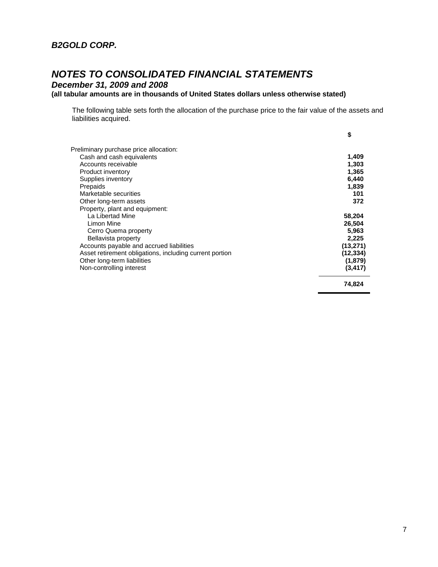*December 31, 2009 and 2008* 

### **(all tabular amounts are in thousands of United States dollars unless otherwise stated)**

The following table sets forth the allocation of the purchase price to the fair value of the assets and liabilities acquired.

|                                                         | \$        |
|---------------------------------------------------------|-----------|
| Preliminary purchase price allocation:                  |           |
| Cash and cash equivalents                               | 1,409     |
| Accounts receivable                                     | 1,303     |
| Product inventory                                       | 1,365     |
| Supplies inventory                                      | 6,440     |
| Prepaids                                                | 1,839     |
| Marketable securities                                   | 101       |
| Other long-term assets                                  | 372       |
| Property, plant and equipment:                          |           |
| La Libertad Mine                                        | 58,204    |
| Limon Mine                                              | 26,504    |
| Cerro Quema property                                    | 5,963     |
| Bellavista property                                     | 2,225     |
| Accounts payable and accrued liabilities                | (13, 271) |
| Asset retirement obligations, including current portion | (12, 334) |
| Other long-term liabilities                             | (1,879)   |
| Non-controlling interest                                | (3, 417)  |
|                                                         | 74,824    |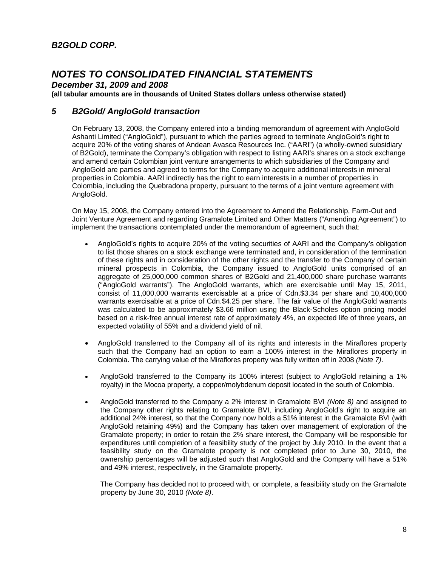*December 31, 2009 and 2008* 

**(all tabular amounts are in thousands of United States dollars unless otherwise stated)**

### *5 B2Gold/ AngloGold transaction*

On February 13, 2008, the Company entered into a binding memorandum of agreement with AngloGold Ashanti Limited ("AngloGold"), pursuant to which the parties agreed to terminate AngloGold's right to acquire 20% of the voting shares of Andean Avasca Resources Inc. ("AARI") (a wholly-owned subsidiary of B2Gold), terminate the Company's obligation with respect to listing AARI's shares on a stock exchange and amend certain Colombian joint venture arrangements to which subsidiaries of the Company and AngloGold are parties and agreed to terms for the Company to acquire additional interests in mineral properties in Colombia. AARI indirectly has the right to earn interests in a number of properties in Colombia, including the Quebradona property, pursuant to the terms of a joint venture agreement with AngloGold.

On May 15, 2008, the Company entered into the Agreement to Amend the Relationship, Farm-Out and Joint Venture Agreement and regarding Gramalote Limited and Other Matters ("Amending Agreement") to implement the transactions contemplated under the memorandum of agreement, such that:

- AngloGold's rights to acquire 20% of the voting securities of AARI and the Company's obligation to list those shares on a stock exchange were terminated and, in consideration of the termination of these rights and in consideration of the other rights and the transfer to the Company of certain mineral prospects in Colombia, the Company issued to AngloGold units comprised of an aggregate of 25,000,000 common shares of B2Gold and 21,400,000 share purchase warrants ("AngloGold warrants"). The AngloGold warrants, which are exercisable until May 15, 2011, consist of 11,000,000 warrants exercisable at a price of Cdn.\$3.34 per share and 10,400,000 warrants exercisable at a price of Cdn.\$4.25 per share. The fair value of the AngloGold warrants was calculated to be approximately \$3.66 million using the Black-Scholes option pricing model based on a risk-free annual interest rate of approximately 4%, an expected life of three years, an expected volatility of 55% and a dividend yield of nil.
- AngloGold transferred to the Company all of its rights and interests in the Miraflores property such that the Company had an option to earn a 100% interest in the Miraflores property in Colombia. The carrying value of the Miraflores property was fully written off in 2008 *(Note 7)*.
- AngloGold transferred to the Company its 100% interest (subject to AngloGold retaining a 1% royalty) in the Mocoa property, a copper/molybdenum deposit located in the south of Colombia.
- AngloGold transferred to the Company a 2% interest in Gramalote BVI *(Note 8)* and assigned to the Company other rights relating to Gramalote BVI, including AngloGold's right to acquire an additional 24% interest, so that the Company now holds a 51% interest in the Gramalote BVI (with AngloGold retaining 49%) and the Company has taken over management of exploration of the Gramalote property; in order to retain the 2% share interest, the Company will be responsible for expenditures until completion of a feasibility study of the project by July 2010. In the event that a feasibility study on the Gramalote property is not completed prior to June 30, 2010, the ownership percentages will be adjusted such that AngloGold and the Company will have a 51% and 49% interest, respectively, in the Gramalote property.

The Company has decided not to proceed with, or complete, a feasibility study on the Gramalote property by June 30, 2010 *(Note 8)*.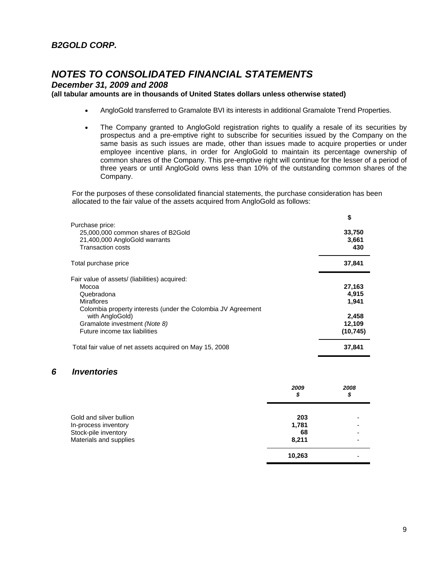*December 31, 2009 and 2008* 

### **(all tabular amounts are in thousands of United States dollars unless otherwise stated)**

- AngloGold transferred to Gramalote BVI its interests in additional Gramalote Trend Properties.
- The Company granted to AngloGold registration rights to qualify a resale of its securities by prospectus and a pre-emptive right to subscribe for securities issued by the Company on the same basis as such issues are made, other than issues made to acquire properties or under employee incentive plans, in order for AngloGold to maintain its percentage ownership of common shares of the Company. This pre-emptive right will continue for the lesser of a period of three years or until AngloGold owns less than 10% of the outstanding common shares of the Company.

For the purposes of these consolidated financial statements, the purchase consideration has been allocated to the fair value of the assets acquired from AngloGold as follows:

|                                                              | \$        |
|--------------------------------------------------------------|-----------|
| Purchase price:                                              |           |
| 25,000,000 common shares of B2Gold                           | 33,750    |
| 21,400,000 AngloGold warrants                                | 3,661     |
| <b>Transaction costs</b>                                     | 430       |
| Total purchase price                                         | 37,841    |
| Fair value of assets/ (liabilities) acquired:                |           |
| Mocoa                                                        | 27,163    |
| Quebradona                                                   | 4,915     |
| <b>Miraflores</b>                                            | 1,941     |
| Colombia property interests (under the Colombia JV Agreement |           |
| with AngloGold)                                              | 2,458     |
| Gramalote investment (Note 8)                                | 12,109    |
| Future income tax liabilities                                | (10, 745) |
| Total fair value of net assets acquired on May 15, 2008      | 37,841    |

### *6 Inventories*

|                                              | 2009<br>\$  | 2008<br>\$ |
|----------------------------------------------|-------------|------------|
| Gold and silver bullion                      | 203         |            |
| In-process inventory<br>Stock-pile inventory | 1,781<br>68 |            |
| Materials and supplies                       | 8,211       |            |
|                                              | 10,263      |            |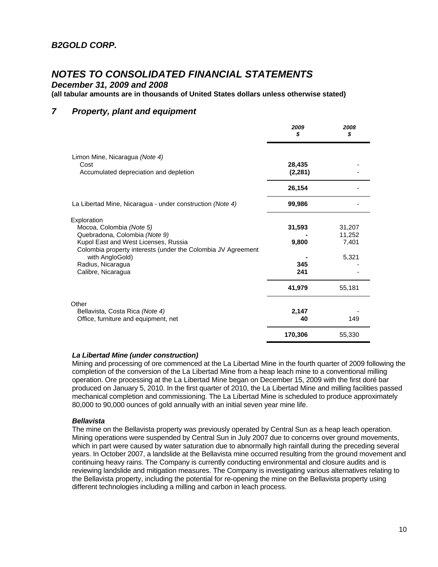*December 31, 2009 and 2008* 

**(all tabular amounts are in thousands of United States dollars unless otherwise stated)**

### *7 Property, plant and equipment*

|                                                                                                                                                                                                                                                | 2009<br>S                     | 2008<br>S                          |
|------------------------------------------------------------------------------------------------------------------------------------------------------------------------------------------------------------------------------------------------|-------------------------------|------------------------------------|
| Limon Mine, Nicaragua (Note 4)<br>Cost<br>Accumulated depreciation and depletion                                                                                                                                                               | 28,435<br>(2, 281)            |                                    |
|                                                                                                                                                                                                                                                | 26,154                        |                                    |
| La Libertad Mine, Nicaragua - under construction (Note 4)                                                                                                                                                                                      | 99,986                        |                                    |
| Exploration<br>Mocoa, Colombia (Note 5)<br>Quebradona, Colombia (Note 9)<br>Kupol East and West Licenses, Russia<br>Colombia property interests (under the Colombia JV Agreement<br>with AngloGold)<br>Radius, Nicaragua<br>Calibre, Nicaragua | 31,593<br>9,800<br>345<br>241 | 31,207<br>11,252<br>7,401<br>5,321 |
|                                                                                                                                                                                                                                                | 41,979                        | 55,181                             |
| Other<br>Bellavista, Costa Rica (Note 4)<br>Office, furniture and equipment, net                                                                                                                                                               | 2,147<br>40                   | 149                                |
|                                                                                                                                                                                                                                                | 170,306                       | 55,330                             |

#### *La Libertad Mine (under construction)*

Mining and processing of ore commenced at the La Libertad Mine in the fourth quarter of 2009 following the completion of the conversion of the La Libertad Mine from a heap leach mine to a conventional milling operation. Ore processing at the La Libertad Mine began on December 15, 2009 with the first doré bar produced on January 5, 2010. In the first quarter of 2010, the La Libertad Mine and milling facilities passed mechanical completion and commissioning. The La Libertad Mine is scheduled to produce approximately 80,000 to 90,000 ounces of gold annually with an initial seven year mine life.

#### *Bellavista*

The mine on the Bellavista property was previously operated by Central Sun as a heap leach operation. Mining operations were suspended by Central Sun in July 2007 due to concerns over ground movements, which in part were caused by water saturation due to abnormally high rainfall during the preceding several years. In October 2007, a landslide at the Bellavista mine occurred resulting from the ground movement and continuing heavy rains. The Company is currently conducting environmental and closure audits and is reviewing landslide and mitigation measures. The Company is investigating various alternatives relating to the Bellavista property, including the potential for re-opening the mine on the Bellavista property using different technologies including a milling and carbon in leach process.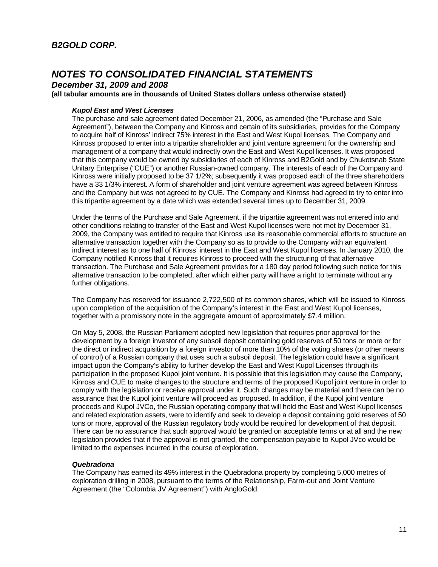*December 31, 2009 and 2008* 

**(all tabular amounts are in thousands of United States dollars unless otherwise stated)**

### *Kupol East and West Licenses*

The purchase and sale agreement dated December 21, 2006, as amended (the "Purchase and Sale Agreement"), between the Company and Kinross and certain of its subsidiaries, provides for the Company to acquire half of Kinross' indirect 75% interest in the East and West Kupol licenses. The Company and Kinross proposed to enter into a tripartite shareholder and joint venture agreement for the ownership and management of a company that would indirectly own the East and West Kupol licenses. It was proposed that this company would be owned by subsidiaries of each of Kinross and B2Gold and by Chukotsnab State Unitary Enterprise ("CUE") or another Russian-owned company. The interests of each of the Company and Kinross were initially proposed to be 37 1/2%; subsequently it was proposed each of the three shareholders have a 33 1/3% interest. A form of shareholder and joint venture agreement was agreed between Kinross and the Company but was not agreed to by CUE. The Company and Kinross had agreed to try to enter into this tripartite agreement by a date which was extended several times up to December 31, 2009.

Under the terms of the Purchase and Sale Agreement, if the tripartite agreement was not entered into and other conditions relating to transfer of the East and West Kupol licenses were not met by December 31, 2009, the Company was entitled to require that Kinross use its reasonable commercial efforts to structure an alternative transaction together with the Company so as to provide to the Company with an equivalent indirect interest as to one half of Kinross' interest in the East and West Kupol licenses. In January 2010, the Company notified Kinross that it requires Kinross to proceed with the structuring of that alternative transaction. The Purchase and Sale Agreement provides for a 180 day period following such notice for this alternative transaction to be completed, after which either party will have a right to terminate without any further obligations.

The Company has reserved for issuance 2,722,500 of its common shares, which will be issued to Kinross upon completion of the acquisition of the Company's interest in the East and West Kupol licenses, together with a promissory note in the aggregate amount of approximately \$7.4 million.

On May 5, 2008, the Russian Parliament adopted new legislation that requires prior approval for the development by a foreign investor of any subsoil deposit containing gold reserves of 50 tons or more or for the direct or indirect acquisition by a foreign investor of more than 10% of the voting shares (or other means of control) of a Russian company that uses such a subsoil deposit. The legislation could have a significant impact upon the Company's ability to further develop the East and West Kupol Licenses through its participation in the proposed Kupol joint venture. It is possible that this legislation may cause the Company, Kinross and CUE to make changes to the structure and terms of the proposed Kupol joint venture in order to comply with the legislation or receive approval under it. Such changes may be material and there can be no assurance that the Kupol joint venture will proceed as proposed. In addition, if the Kupol joint venture proceeds and Kupol JVCo, the Russian operating company that will hold the East and West Kupol licenses and related exploration assets, were to identify and seek to develop a deposit containing gold reserves of 50 tons or more, approval of the Russian regulatory body would be required for development of that deposit. There can be no assurance that such approval would be granted on acceptable terms or at all and the new legislation provides that if the approval is not granted, the compensation payable to Kupol JVco would be limited to the expenses incurred in the course of exploration.

#### *Quebradona*

The Company has earned its 49% interest in the Quebradona property by completing 5,000 metres of exploration drilling in 2008, pursuant to the terms of the Relationship, Farm-out and Joint Venture Agreement (the "Colombia JV Agreement") with AngloGold.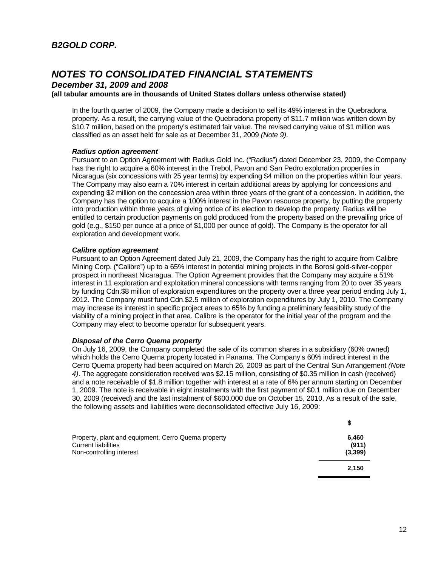*December 31, 2009 and 2008* 

#### **(all tabular amounts are in thousands of United States dollars unless otherwise stated)**

In the fourth quarter of 2009, the Company made a decision to sell its 49% interest in the Quebradona property. As a result, the carrying value of the Quebradona property of \$11.7 million was written down by \$10.7 million, based on the property's estimated fair value. The revised carrying value of \$1 million was classified as an asset held for sale as at December 31, 2009 *(Note 9)*.

#### *Radius option agreement*

Pursuant to an Option Agreement with Radius Gold Inc. ("Radius") dated December 23, 2009, the Company has the right to acquire a 60% interest in the Trebol, Pavon and San Pedro exploration properties in Nicaragua (six concessions with 25 year terms) by expending \$4 million on the properties within four years. The Company may also earn a 70% interest in certain additional areas by applying for concessions and expending \$2 million on the concession area within three years of the grant of a concession. In addition, the Company has the option to acquire a 100% interest in the Pavon resource property, by putting the property into production within three years of giving notice of its election to develop the property. Radius will be entitled to certain production payments on gold produced from the property based on the prevailing price of gold (e.g., \$150 per ounce at a price of \$1,000 per ounce of gold). The Company is the operator for all exploration and development work.

#### *Calibre option agreement*

Pursuant to an Option Agreement dated July 21, 2009, the Company has the right to acquire from Calibre Mining Corp. ("Calibre") up to a 65% interest in potential mining projects in the Borosi gold-silver-copper prospect in northeast Nicaragua. The Option Agreement provides that the Company may acquire a 51% interest in 11 exploration and exploitation mineral concessions with terms ranging from 20 to over 35 years by funding Cdn.\$8 million of exploration expenditures on the property over a three year period ending July 1, 2012. The Company must fund Cdn.\$2.5 million of exploration expenditures by July 1, 2010. The Company may increase its interest in specific project areas to 65% by funding a preliminary feasibility study of the viability of a mining project in that area. Calibre is the operator for the initial year of the program and the Company may elect to become operator for subsequent years.

#### *Disposal of the Cerro Quema property*

On July 16, 2009, the Company completed the sale of its common shares in a subsidiary (60% owned) which holds the Cerro Quema property located in Panama. The Company's 60% indirect interest in the Cerro Quema property had been acquired on March 26, 2009 as part of the Central Sun Arrangement *(Note 4)*. The aggregate consideration received was \$2.15 million, consisting of \$0.35 million in cash (received) and a note receivable of \$1.8 million together with interest at a rate of 6% per annum starting on December 1, 2009. The note is receivable in eight instalments with the first payment of \$0.1 million due on December 30, 2009 (received) and the last instalment of \$600,000 due on October 15, 2010. As a result of the sale, the following assets and liabilities were deconsolidated effective July 16, 2009:

| Property, plant and equipment, Cerro Quema property<br><b>Current liabilities</b> | 6.460<br>(911) |
|-----------------------------------------------------------------------------------|----------------|
| Non-controlling interest                                                          | (3,399)        |
|                                                                                   | 2.150          |

**\$**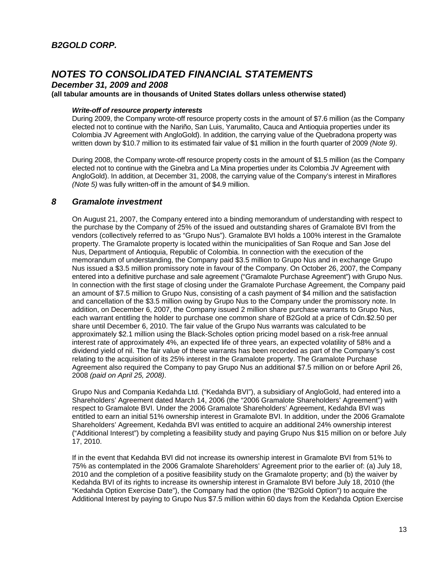*December 31, 2009 and 2008* 

**(all tabular amounts are in thousands of United States dollars unless otherwise stated)**

### *Write-off of resource property interests*

During 2009, the Company wrote-off resource property costs in the amount of \$7.6 million (as the Company elected not to continue with the Nariño, San Luis, Yarumalito, Cauca and Antioquia properties under its Colombia JV Agreement with AngloGold). In addition, the carrying value of the Quebradona property was written down by \$10.7 million to its estimated fair value of \$1 million in the fourth quarter of 2009 *(Note 9)*.

During 2008, the Company wrote-off resource property costs in the amount of \$1.5 million (as the Company elected not to continue with the Ginebra and La Mina properties under its Colombia JV Agreement with AngloGold). In addition, at December 31, 2008, the carrying value of the Company's interest in Miraflores *(Note 5)* was fully written-off in the amount of \$4.9 million.

### *8 Gramalote investment*

On August 21, 2007, the Company entered into a binding memorandum of understanding with respect to the purchase by the Company of 25% of the issued and outstanding shares of Gramalote BVI from the vendors (collectively referred to as "Grupo Nus"). Gramalote BVI holds a 100% interest in the Gramalote property. The Gramalote property is located within the municipalities of San Roque and San Jose del Nus, Department of Antioquia, Republic of Colombia. In connection with the execution of the memorandum of understanding, the Company paid \$3.5 million to Grupo Nus and in exchange Grupo Nus issued a \$3.5 million promissory note in favour of the Company. On October 26, 2007, the Company entered into a definitive purchase and sale agreement ("Gramalote Purchase Agreement") with Grupo Nus. In connection with the first stage of closing under the Gramalote Purchase Agreement, the Company paid an amount of \$7.5 million to Grupo Nus, consisting of a cash payment of \$4 million and the satisfaction and cancellation of the \$3.5 million owing by Grupo Nus to the Company under the promissory note. In addition, on December 6, 2007, the Company issued 2 million share purchase warrants to Grupo Nus, each warrant entitling the holder to purchase one common share of B2Gold at a price of Cdn.\$2.50 per share until December 6, 2010. The fair value of the Grupo Nus warrants was calculated to be approximately \$2.1 million using the Black-Scholes option pricing model based on a risk-free annual interest rate of approximately 4%, an expected life of three years, an expected volatility of 58% and a dividend yield of nil. The fair value of these warrants has been recorded as part of the Company's cost relating to the acquisition of its 25% interest in the Gramalote property. The Gramalote Purchase Agreement also required the Company to pay Grupo Nus an additional \$7.5 million on or before April 26, 2008 *(paid on April 25, 2008)*.

Grupo Nus and Compania Kedahda Ltd. ("Kedahda BVI"), a subsidiary of AngloGold, had entered into a Shareholders' Agreement dated March 14, 2006 (the "2006 Gramalote Shareholders' Agreement") with respect to Gramalote BVI. Under the 2006 Gramalote Shareholders' Agreement, Kedahda BVI was entitled to earn an initial 51% ownership interest in Gramalote BVI. In addition, under the 2006 Gramalote Shareholders' Agreement, Kedahda BVI was entitled to acquire an additional 24% ownership interest ("Additional Interest") by completing a feasibility study and paying Grupo Nus \$15 million on or before July 17, 2010.

If in the event that Kedahda BVI did not increase its ownership interest in Gramalote BVI from 51% to 75% as contemplated in the 2006 Gramalote Shareholders' Agreement prior to the earlier of: (a) July 18, 2010 and the completion of a positive feasibility study on the Gramalote property; and (b) the waiver by Kedahda BVI of its rights to increase its ownership interest in Gramalote BVI before July 18, 2010 (the "Kedahda Option Exercise Date"), the Company had the option (the "B2Gold Option") to acquire the Additional Interest by paying to Grupo Nus \$7.5 million within 60 days from the Kedahda Option Exercise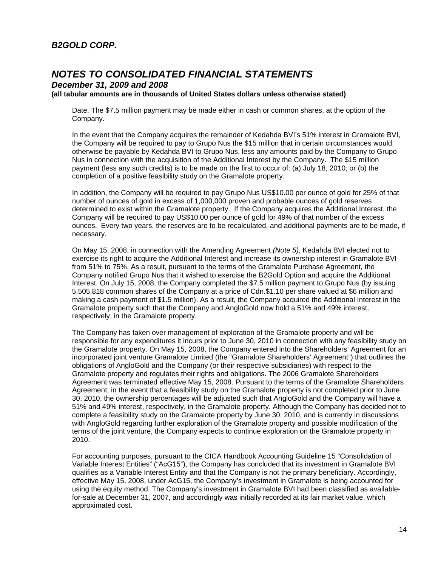### *B2GOLD CORP.*

## *NOTES TO CONSOLIDATED FINANCIAL STATEMENTS*

*December 31, 2009 and 2008* 

**(all tabular amounts are in thousands of United States dollars unless otherwise stated)**

Date. The \$7.5 million payment may be made either in cash or common shares, at the option of the Company.

In the event that the Company acquires the remainder of Kedahda BVI's 51% interest in Gramalote BVI, the Company will be required to pay to Grupo Nus the \$15 million that in certain circumstances would otherwise be payable by Kedahda BVI to Grupo Nus, less any amounts paid by the Company to Grupo Nus in connection with the acquisition of the Additional Interest by the Company. The \$15 million payment (less any such credits) is to be made on the first to occur of: (a) July 18, 2010; or (b) the completion of a positive feasibility study on the Gramalote property.

In addition, the Company will be required to pay Grupo Nus US\$10.00 per ounce of gold for 25% of that number of ounces of gold in excess of 1,000,000 proven and probable ounces of gold reserves determined to exist within the Gramalote property. If the Company acquires the Additional Interest, the Company will be required to pay US\$10.00 per ounce of gold for 49% of that number of the excess ounces. Every two years, the reserves are to be recalculated, and additional payments are to be made, if necessary.

On May 15, 2008, in connection with the Amending Agreement *(Note 5)*, Kedahda BVI elected not to exercise its right to acquire the Additional Interest and increase its ownership interest in Gramalote BVI from 51% to 75%. As a result, pursuant to the terms of the Gramalote Purchase Agreement, the Company notified Grupo Nus that it wished to exercise the B2Gold Option and acquire the Additional Interest. On July 15, 2008, the Company completed the \$7.5 million payment to Grupo Nus (by issuing 5,505,818 common shares of the Company at a price of Cdn.\$1.10 per share valued at \$6 million and making a cash payment of \$1.5 million). As a result, the Company acquired the Additional Interest in the Gramalote property such that the Company and AngloGold now hold a 51% and 49% interest, respectively, in the Gramalote property.

The Company has taken over management of exploration of the Gramalote property and will be responsible for any expenditures it incurs prior to June 30, 2010 in connection with any feasibility study on the Gramalote property. On May 15, 2008, the Company entered into the Shareholders' Agreement for an incorporated joint venture Gramalote Limited (the "Gramalote Shareholders' Agreement") that outlines the obligations of AngloGold and the Company (or their respective subsidiaries) with respect to the Gramalote property and regulates their rights and obligations. The 2006 Gramalote Shareholders Agreement was terminated effective May 15, 2008. Pursuant to the terms of the Gramalote Shareholders Agreement, in the event that a feasibility study on the Gramalote property is not completed prior to June 30, 2010, the ownership percentages will be adjusted such that AngloGold and the Company will have a 51% and 49% interest, respectively, in the Gramalote property. Although the Company has decided not to complete a feasibility study on the Gramalote property by June 30, 2010, and is currently in discussions with AngloGold regarding further exploration of the Gramalote property and possible modification of the terms of the joint venture, the Company expects to continue exploration on the Gramalote property in 2010.

For accounting purposes, pursuant to the CICA Handbook Accounting Guideline 15 "Consolidation of Variable Interest Entities" ("AcG15"), the Company has concluded that its investment in Gramalote BVI qualifies as a Variable Interest Entity and that the Company is not the primary beneficiary. Accordingly, effective May 15, 2008, under AcG15, the Company's investment in Gramalote is being accounted for using the equity method. The Company's investment in Gramalote BVI had been classified as availablefor-sale at December 31, 2007, and accordingly was initially recorded at its fair market value, which approximated cost.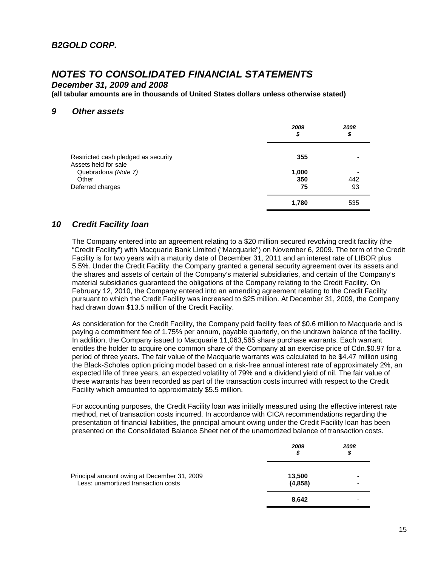*December 31, 2009 and 2008* 

**(all tabular amounts are in thousands of United States dollars unless otherwise stated)**

### *9 Other assets*

|                                                             | 2009<br>\$ | 2008<br>\$ |
|-------------------------------------------------------------|------------|------------|
| Restricted cash pledged as security<br>Assets held for sale | 355        |            |
| Quebradona (Note 7)                                         | 1,000      |            |
| Other                                                       | 350        | 442        |
| Deferred charges                                            | 75         | 93         |
|                                                             | 1,780      | 535        |

### *10 Credit Facility loan*

The Company entered into an agreement relating to a \$20 million secured revolving credit facility (the "Credit Facility") with Macquarie Bank Limited ("Macquarie") on November 6, 2009. The term of the Credit Facility is for two years with a maturity date of December 31, 2011 and an interest rate of LIBOR plus 5.5%. Under the Credit Facility, the Company granted a general security agreement over its assets and the shares and assets of certain of the Company's material subsidiaries, and certain of the Company's material subsidiaries guaranteed the obligations of the Company relating to the Credit Facility. On February 12, 2010, the Company entered into an amending agreement relating to the Credit Facility pursuant to which the Credit Facility was increased to \$25 million. At December 31, 2009, the Company had drawn down \$13.5 million of the Credit Facility.

As consideration for the Credit Facility, the Company paid facility fees of \$0.6 million to Macquarie and is paying a commitment fee of 1.75% per annum, payable quarterly, on the undrawn balance of the facility. In addition, the Company issued to Macquarie 11,063,565 share purchase warrants. Each warrant entitles the holder to acquire one common share of the Company at an exercise price of Cdn.\$0.97 for a period of three years. The fair value of the Macquarie warrants was calculated to be \$4.47 million using the Black-Scholes option pricing model based on a risk-free annual interest rate of approximately 2%, an expected life of three years, an expected volatility of 79% and a dividend yield of nil. The fair value of these warrants has been recorded as part of the transaction costs incurred with respect to the Credit Facility which amounted to approximately \$5.5 million.

For accounting purposes, the Credit Facility loan was initially measured using the effective interest rate method, net of transaction costs incurred. In accordance with CICA recommendations regarding the presentation of financial liabilities, the principal amount owing under the Credit Facility loan has been presented on the Consolidated Balance Sheet net of the unamortized balance of transaction costs.

|                                                                                    | 2009<br>\$        | 2008<br>S |
|------------------------------------------------------------------------------------|-------------------|-----------|
| Principal amount owing at December 31, 2009<br>Less: unamortized transaction costs | 13,500<br>(4,858) |           |
|                                                                                    | 8,642             |           |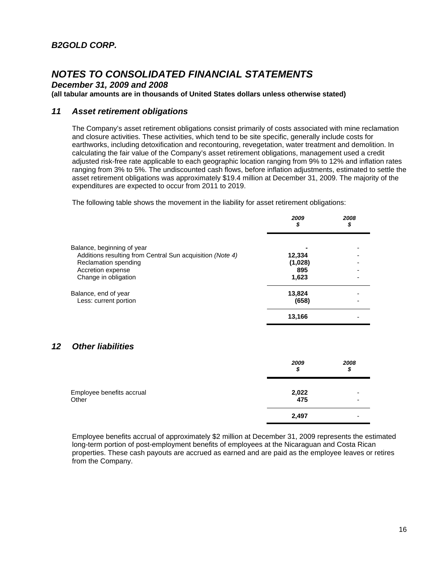*December 31, 2009 and 2008* 

**(all tabular amounts are in thousands of United States dollars unless otherwise stated)**

### *11 Asset retirement obligations*

The Company's asset retirement obligations consist primarily of costs associated with mine reclamation and closure activities. These activities, which tend to be site specific, generally include costs for earthworks, including detoxification and recontouring, revegetation, water treatment and demolition. In calculating the fair value of the Company's asset retirement obligations, management used a credit adjusted risk-free rate applicable to each geographic location ranging from 9% to 12% and inflation rates ranging from 3% to 5%. The undiscounted cash flows, before inflation adjustments, estimated to settle the asset retirement obligations was approximately \$19.4 million at December 31, 2009. The majority of the expenditures are expected to occur from 2011 to 2019.

The following table shows the movement in the liability for asset retirement obligations:

|                                                           | 2009<br>\$ | 2008<br>\$ |
|-----------------------------------------------------------|------------|------------|
| Balance, beginning of year                                |            |            |
| Additions resulting from Central Sun acquisition (Note 4) | 12,334     |            |
| Reclamation spending                                      | (1,028)    |            |
| Accretion expense                                         | 895        |            |
| Change in obligation                                      | 1,623      |            |
| Balance, end of year                                      | 13,824     |            |
| Less: current portion                                     | (658)      |            |
|                                                           | 13,166     |            |

### *12 Other liabilities*

|                           | 2009<br>\$ | 2008<br>\$ |
|---------------------------|------------|------------|
| Employee benefits accrual | 2,022      |            |
| Other                     | 475        |            |
|                           | 2,497      |            |

Employee benefits accrual of approximately \$2 million at December 31, 2009 represents the estimated long-term portion of post-employment benefits of employees at the Nicaraguan and Costa Rican properties. These cash payouts are accrued as earned and are paid as the employee leaves or retires from the Company.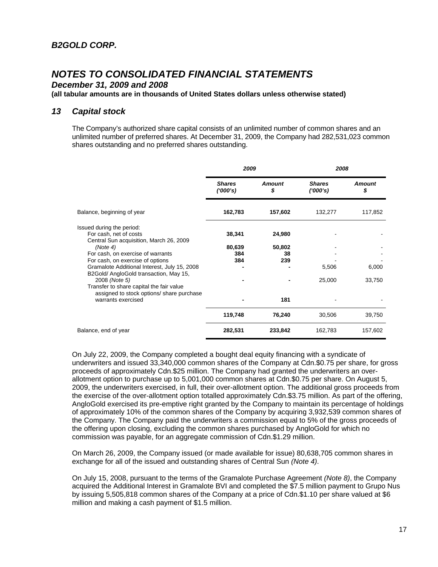*December 31, 2009 and 2008* 

**(all tabular amounts are in thousands of United States dollars unless otherwise stated)**

### *13 Capital stock*

The Company's authorized share capital consists of an unlimited number of common shares and an unlimited number of preferred shares. At December 31, 2009, the Company had 282,531,023 common shares outstanding and no preferred shares outstanding.

|                                                                                        | 2009                      |                     | 2008                      |                     |
|----------------------------------------------------------------------------------------|---------------------------|---------------------|---------------------------|---------------------|
|                                                                                        | <b>Shares</b><br>(1000's) | <b>Amount</b><br>\$ | <b>Shares</b><br>(1000's) | <b>Amount</b><br>\$ |
| Balance, beginning of year                                                             | 162,783                   | 157,602             | 132,277                   | 117,852             |
| Issued during the period:                                                              |                           |                     |                           |                     |
| For cash, net of costs                                                                 | 38,341                    | 24,980              |                           |                     |
| Central Sun acquisition, March 26, 2009                                                |                           |                     |                           |                     |
| (Note 4)                                                                               | 80,639                    | 50,802              |                           |                     |
| For cash, on exercise of warrants                                                      | 384                       | 38                  |                           |                     |
| For cash, on exercise of options                                                       | 384                       | 239                 |                           |                     |
| Gramalote Additional Interest, July 15, 2008<br>B2Gold/ AngloGold transaction, May 15, |                           |                     | 5,506                     | 6,000               |
| 2008 (Note 5)                                                                          |                           |                     | 25,000                    | 33,750              |
| Transfer to share capital the fair value<br>assigned to stock options/ share purchase  |                           |                     |                           |                     |
| warrants exercised                                                                     |                           | 181                 |                           |                     |
|                                                                                        | 119,748                   | 76,240              | 30,506                    | 39,750              |
| Balance, end of year                                                                   | 282,531                   | 233,842             | 162,783                   | 157,602             |

On July 22, 2009, the Company completed a bought deal equity financing with a syndicate of underwriters and issued 33,340,000 common shares of the Company at Cdn.\$0.75 per share, for gross proceeds of approximately Cdn.\$25 million. The Company had granted the underwriters an overallotment option to purchase up to 5,001,000 common shares at Cdn.\$0.75 per share. On August 5, 2009, the underwriters exercised, in full, their over-allotment option. The additional gross proceeds from the exercise of the over-allotment option totalled approximately Cdn.\$3.75 million. As part of the offering, AngloGold exercised its pre-emptive right granted by the Company to maintain its percentage of holdings of approximately 10% of the common shares of the Company by acquiring 3,932,539 common shares of the Company. The Company paid the underwriters a commission equal to 5% of the gross proceeds of the offering upon closing, excluding the common shares purchased by AngloGold for which no commission was payable, for an aggregate commission of Cdn.\$1.29 million.

On March 26, 2009, the Company issued (or made available for issue) 80,638,705 common shares in exchange for all of the issued and outstanding shares of Central Sun *(Note 4)*.

On July 15, 2008, pursuant to the terms of the Gramalote Purchase Agreement *(Note 8)*, the Company acquired the Additional Interest in Gramalote BVI and completed the \$7.5 million payment to Grupo Nus by issuing 5,505,818 common shares of the Company at a price of Cdn.\$1.10 per share valued at \$6 million and making a cash payment of \$1.5 million.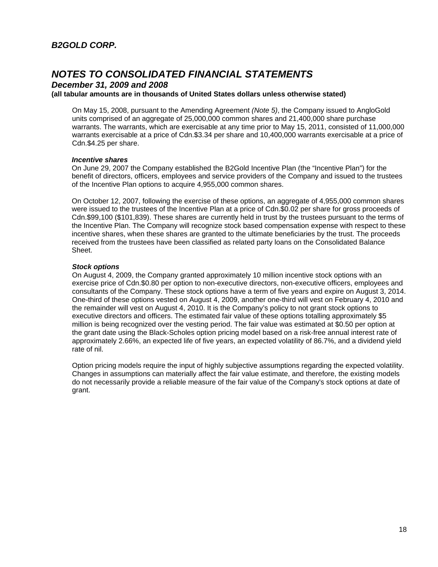*December 31, 2009 and 2008* 

**(all tabular amounts are in thousands of United States dollars unless otherwise stated)**

On May 15, 2008, pursuant to the Amending Agreement *(Note 5)*, the Company issued to AngloGold units comprised of an aggregate of 25,000,000 common shares and 21,400,000 share purchase warrants. The warrants, which are exercisable at any time prior to May 15, 2011, consisted of 11,000,000 warrants exercisable at a price of Cdn.\$3.34 per share and 10,400,000 warrants exercisable at a price of Cdn.\$4.25 per share.

#### *Incentive shares*

On June 29, 2007 the Company established the B2Gold Incentive Plan (the "Incentive Plan") for the benefit of directors, officers, employees and service providers of the Company and issued to the trustees of the Incentive Plan options to acquire 4,955,000 common shares.

On October 12, 2007, following the exercise of these options, an aggregate of 4,955,000 common shares were issued to the trustees of the Incentive Plan at a price of Cdn.\$0.02 per share for gross proceeds of Cdn.\$99,100 (\$101,839). These shares are currently held in trust by the trustees pursuant to the terms of the Incentive Plan. The Company will recognize stock based compensation expense with respect to these incentive shares, when these shares are granted to the ultimate beneficiaries by the trust. The proceeds received from the trustees have been classified as related party loans on the Consolidated Balance Sheet.

### *Stock options*

On August 4, 2009, the Company granted approximately 10 million incentive stock options with an exercise price of Cdn.\$0.80 per option to non-executive directors, non-executive officers, employees and consultants of the Company. These stock options have a term of five years and expire on August 3, 2014. One-third of these options vested on August 4, 2009, another one-third will vest on February 4, 2010 and the remainder will vest on August 4, 2010. It is the Company's policy to not grant stock options to executive directors and officers. The estimated fair value of these options totalling approximately \$5 million is being recognized over the vesting period. The fair value was estimated at \$0.50 per option at the grant date using the Black-Scholes option pricing model based on a risk-free annual interest rate of approximately 2.66%, an expected life of five years, an expected volatility of 86.7%, and a dividend yield rate of nil.

Option pricing models require the input of highly subjective assumptions regarding the expected volatility. Changes in assumptions can materially affect the fair value estimate, and therefore, the existing models do not necessarily provide a reliable measure of the fair value of the Company's stock options at date of grant.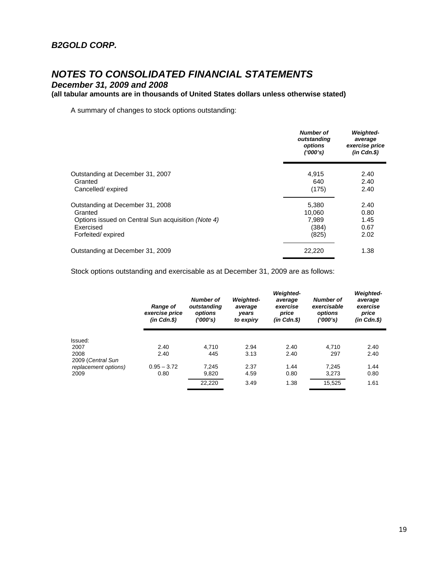*December 31, 2009 and 2008* 

### **(all tabular amounts are in thousands of United States dollars unless otherwise stated)**

A summary of changes to stock options outstanding:

|                                                    | <b>Number of</b><br>outstanding<br>options<br>(1000's) | <b>Weighted-</b><br>average<br>exercise price<br>$(in$ $Cdn.S)$ |
|----------------------------------------------------|--------------------------------------------------------|-----------------------------------------------------------------|
| Outstanding at December 31, 2007                   | 4,915                                                  | 2.40                                                            |
| Granted<br>Cancelled/expired                       | 640<br>(175)                                           | 2.40<br>2.40                                                    |
|                                                    |                                                        |                                                                 |
| Outstanding at December 31, 2008<br>Granted        | 5,380<br>10.060                                        | 2.40<br>0.80                                                    |
| Options issued on Central Sun acquisition (Note 4) | 7.989                                                  | 1.45                                                            |
| Exercised                                          | (384)                                                  | 0.67                                                            |
| Forfeited/expired                                  | (825)                                                  | 2.02                                                            |
| Outstanding at December 31, 2009                   | 22,220                                                 | 1.38                                                            |

Stock options outstanding and exercisable as at December 31, 2009 are as follows:

|                      | <b>Range of</b><br>exercise price<br>$(in$ $Cdn.S)$ | <b>Number of</b><br>outstanding<br>options<br>('000's) | <b>Weighted-</b><br>average<br>years<br>to expiry | <b>Weighted-</b><br>average<br>exercise<br>price<br>$(in$ $Cdn.S)$ | <b>Number of</b><br>exercisable<br>options<br>(1000's) | <b>Weighted-</b><br>average<br>exercise<br>price<br>(in Cdn.\$) |
|----------------------|-----------------------------------------------------|--------------------------------------------------------|---------------------------------------------------|--------------------------------------------------------------------|--------------------------------------------------------|-----------------------------------------------------------------|
| Issued:              |                                                     |                                                        |                                                   |                                                                    |                                                        |                                                                 |
| 2007                 | 2.40                                                | 4.710                                                  | 2.94                                              | 2.40                                                               | 4.710                                                  | 2.40                                                            |
| 2008                 | 2.40                                                | 445                                                    | 3.13                                              | 2.40                                                               | 297                                                    | 2.40                                                            |
| 2009 (Central Sun    |                                                     |                                                        |                                                   |                                                                    |                                                        |                                                                 |
| replacement options) | $0.95 - 3.72$                                       | 7.245                                                  | 2.37                                              | 1.44                                                               | 7.245                                                  | 1.44                                                            |
| 2009                 | 0.80                                                | 9,820                                                  | 4.59                                              | 0.80                                                               | 3,273                                                  | 0.80                                                            |
|                      |                                                     | 22.220                                                 | 3.49                                              | 1.38                                                               | 15,525                                                 | 1.61                                                            |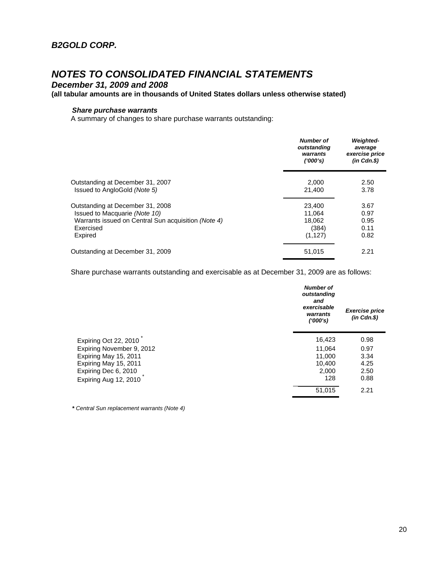*December 31, 2009 and 2008* 

### **(all tabular amounts are in thousands of United States dollars unless otherwise stated)**

### *Share purchase warrants*

A summary of changes to share purchase warrants outstanding:

|                                                     | Number of<br>outstanding<br>warrants<br>(1000's) | <b>Weighted-</b><br>average<br>exercise price<br>$(in$ $Cdn.S)$ |
|-----------------------------------------------------|--------------------------------------------------|-----------------------------------------------------------------|
| Outstanding at December 31, 2007                    | 2.000                                            | 2.50                                                            |
| Issued to AngloGold (Note 5)                        | 21,400                                           | 3.78                                                            |
| Outstanding at December 31, 2008                    | 23,400                                           | 3.67                                                            |
| Issued to Macquarie (Note 10)                       | 11.064                                           | 0.97                                                            |
| Warrants issued on Central Sun acquisition (Note 4) | 18.062                                           | 0.95                                                            |
| Exercised                                           | (384)                                            | 0.11                                                            |
| Expired                                             | (1, 127)                                         | 0.82                                                            |
| Outstanding at December 31, 2009                    | 51,015                                           | 2.21                                                            |

Share purchase warrants outstanding and exercisable as at December 31, 2009 are as follows:

|                           | <b>Number of</b><br>outstanding<br>and<br>exercisable<br>warrants<br>(1000's) | <b>Exercise price</b><br>$(in$ $Cdn.S)$ |
|---------------------------|-------------------------------------------------------------------------------|-----------------------------------------|
| Expiring Oct 22, 2010     | 16,423                                                                        | 0.98                                    |
| Expiring November 9, 2012 | 11,064                                                                        | 0.97                                    |
| Expiring May 15, 2011     | 11,000                                                                        | 3.34                                    |
| Expiring May 15, 2011     | 10,400                                                                        | 4.25                                    |
| Expiring Dec 6, 2010      | 2.000                                                                         | 2.50                                    |
| Expiring Aug 12, 2010     | 128                                                                           | 0.88                                    |
|                           | 51,015                                                                        | 2.21                                    |

*\* Central Sun replacement warrants (Note 4)*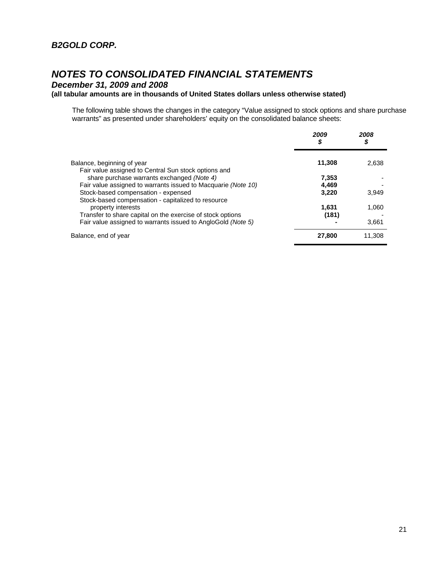*December 31, 2009 and 2008* 

### **(all tabular amounts are in thousands of United States dollars unless otherwise stated)**

The following table shows the changes in the category "Value assigned to stock options and share purchase warrants" as presented under shareholders' equity on the consolidated balance sheets:

|                                                                                                                                        | 2009<br>\$     | 2008<br>\$ |
|----------------------------------------------------------------------------------------------------------------------------------------|----------------|------------|
| Balance, beginning of year                                                                                                             | 11,308         | 2,638      |
| Fair value assigned to Central Sun stock options and<br>share purchase warrants exchanged (Note 4)                                     | 7,353          |            |
| Fair value assigned to warrants issued to Macquarie (Note 10)                                                                          | 4,469          |            |
| Stock-based compensation - expensed                                                                                                    | 3.220          | 3.949      |
| Stock-based compensation - capitalized to resource<br>property interests<br>Transfer to share capital on the exercise of stock options | 1.631<br>(181) | 1.060      |
| Fair value assigned to warrants issued to AngloGold (Note 5)                                                                           |                | 3,661      |
| Balance, end of year                                                                                                                   | 27,800         | 11.308     |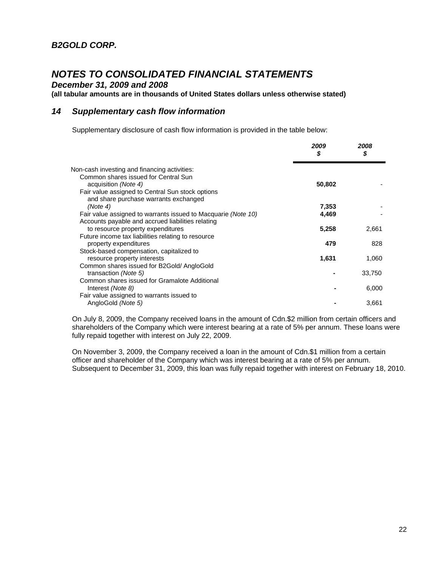*December 31, 2009 and 2008* 

**(all tabular amounts are in thousands of United States dollars unless otherwise stated)**

### *14 Supplementary cash flow information*

Supplementary disclosure of cash flow information is provided in the table below:

|                                                               | 2009<br>\$ | 2008<br>\$ |
|---------------------------------------------------------------|------------|------------|
| Non-cash investing and financing activities:                  |            |            |
| Common shares issued for Central Sun                          |            |            |
| acquisition (Note 4)                                          | 50,802     |            |
| Fair value assigned to Central Sun stock options              |            |            |
| and share purchase warrants exchanged                         |            |            |
| (Note 4)                                                      | 7,353      |            |
| Fair value assigned to warrants issued to Macquarie (Note 10) | 4,469      |            |
| Accounts payable and accrued liabilities relating             |            |            |
| to resource property expenditures                             | 5,258      | 2,661      |
| Future income tax liabilities relating to resource            |            |            |
| property expenditures                                         | 479        | 828        |
| Stock-based compensation, capitalized to                      |            |            |
| resource property interests                                   | 1,631      | 1,060      |
| Common shares issued for B2Gold/ AngloGold                    |            |            |
| transaction (Note 5)                                          |            | 33,750     |
| Common shares issued for Gramalote Additional                 |            |            |
| Interest (Note 8)                                             |            | 6,000      |
| Fair value assigned to warrants issued to                     |            |            |
| AngloGold (Note 5)                                            |            | 3,661      |
|                                                               |            |            |

On July 8, 2009, the Company received loans in the amount of Cdn.\$2 million from certain officers and shareholders of the Company which were interest bearing at a rate of 5% per annum. These loans were fully repaid together with interest on July 22, 2009.

On November 3, 2009, the Company received a loan in the amount of Cdn.\$1 million from a certain officer and shareholder of the Company which was interest bearing at a rate of 5% per annum. Subsequent to December 31, 2009, this loan was fully repaid together with interest on February 18, 2010.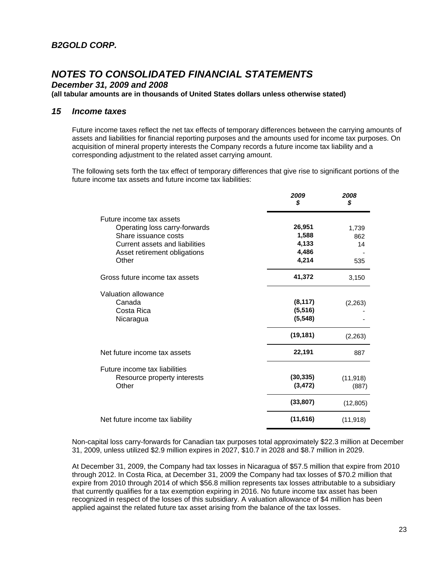*December 31, 2009 and 2008* 

**(all tabular amounts are in thousands of United States dollars unless otherwise stated)**

### *15 Income taxes*

Future income taxes reflect the net tax effects of temporary differences between the carrying amounts of assets and liabilities for financial reporting purposes and the amounts used for income tax purposes. On acquisition of mineral property interests the Company records a future income tax liability and a corresponding adjustment to the related asset carrying amount.

The following sets forth the tax effect of temporary differences that give rise to significant portions of the future income tax assets and future income tax liabilities:

|                                 | 2009<br>\$ | 2008<br>\$ |
|---------------------------------|------------|------------|
| Future income tax assets        |            |            |
| Operating loss carry-forwards   | 26,951     | 1,739      |
| Share issuance costs            | 1,588      | 862        |
| Current assets and liabilities  | 4,133      | 14         |
| Asset retirement obligations    | 4,486      |            |
| Other                           | 4,214      | 535        |
| Gross future income tax assets  | 41,372     | 3,150      |
| Valuation allowance             |            |            |
| Canada                          | (8, 117)   | (2,263)    |
| Costa Rica                      | (5, 516)   |            |
| Nicaragua                       | (5, 548)   |            |
|                                 | (19, 181)  | (2,263)    |
| Net future income tax assets    | 22,191     | 887        |
| Future income tax liabilities   |            |            |
| Resource property interests     | (30, 335)  | (11, 918)  |
| Other                           | (3, 472)   | (887)      |
|                                 | (33, 807)  | (12, 805)  |
| Net future income tax liability | (11, 616)  | (11, 918)  |

Non-capital loss carry-forwards for Canadian tax purposes total approximately \$22.3 million at December 31, 2009, unless utilized \$2.9 million expires in 2027, \$10.7 in 2028 and \$8.7 million in 2029.

At December 31, 2009, the Company had tax losses in Nicaragua of \$57.5 million that expire from 2010 through 2012. In Costa Rica, at December 31, 2009 the Company had tax losses of \$70.2 million that expire from 2010 through 2014 of which \$56.8 million represents tax losses attributable to a subsidiary that currently qualifies for a tax exemption expiring in 2016. No future income tax asset has been recognized in respect of the losses of this subsidiary. A valuation allowance of \$4 million has been applied against the related future tax asset arising from the balance of the tax losses.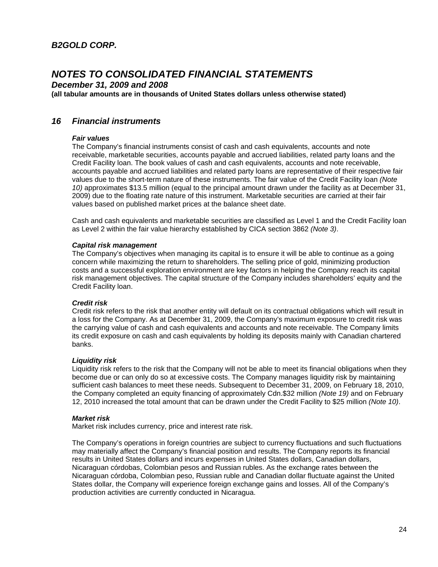*December 31, 2009 and 2008* 

**(all tabular amounts are in thousands of United States dollars unless otherwise stated)**

### *16 Financial instruments*

#### *Fair values*

The Company's financial instruments consist of cash and cash equivalents, accounts and note receivable, marketable securities, accounts payable and accrued liabilities, related party loans and the Credit Facility loan. The book values of cash and cash equivalents, accounts and note receivable, accounts payable and accrued liabilities and related party loans are representative of their respective fair values due to the short-term nature of these instruments. The fair value of the Credit Facility loan *(Note 10)* approximates \$13.5 million (equal to the principal amount drawn under the facility as at December 31, 2009) due to the floating rate nature of this instrument. Marketable securities are carried at their fair values based on published market prices at the balance sheet date.

Cash and cash equivalents and marketable securities are classified as Level 1 and the Credit Facility loan as Level 2 within the fair value hierarchy established by CICA section 3862 *(Note 3)*.

#### *Capital risk management*

The Company's objectives when managing its capital is to ensure it will be able to continue as a going concern while maximizing the return to shareholders. The selling price of gold, minimizing production costs and a successful exploration environment are key factors in helping the Company reach its capital risk management objectives. The capital structure of the Company includes shareholders' equity and the Credit Facility loan.

#### *Credit risk*

Credit risk refers to the risk that another entity will default on its contractual obligations which will result in a loss for the Company. As at December 31, 2009, the Company's maximum exposure to credit risk was the carrying value of cash and cash equivalents and accounts and note receivable. The Company limits its credit exposure on cash and cash equivalents by holding its deposits mainly with Canadian chartered banks.

#### *Liquidity risk*

Liquidity risk refers to the risk that the Company will not be able to meet its financial obligations when they become due or can only do so at excessive costs. The Company manages liquidity risk by maintaining sufficient cash balances to meet these needs. Subsequent to December 31, 2009, on February 18, 2010, the Company completed an equity financing of approximately Cdn.\$32 million *(Note 19)* and on February 12, 2010 increased the total amount that can be drawn under the Credit Facility to \$25 million *(Note 10)*.

#### *Market risk*

Market risk includes currency, price and interest rate risk.

The Company's operations in foreign countries are subject to currency fluctuations and such fluctuations may materially affect the Company's financial position and results. The Company reports its financial results in United States dollars and incurs expenses in United States dollars, Canadian dollars, Nicaraguan córdobas, Colombian pesos and Russian rubles. As the exchange rates between the Nicaraguan córdoba, Colombian peso, Russian ruble and Canadian dollar fluctuate against the United States dollar, the Company will experience foreign exchange gains and losses. All of the Company's production activities are currently conducted in Nicaragua.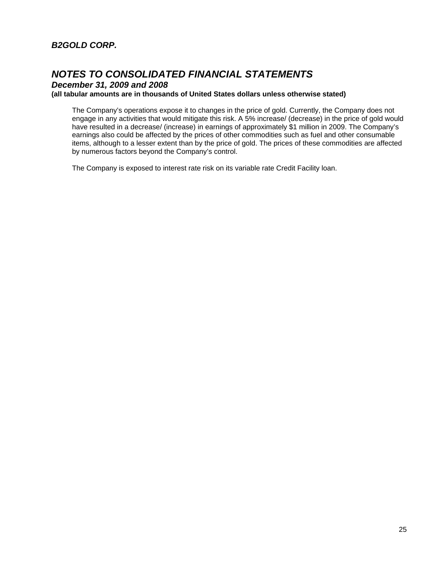### *B2GOLD CORP.*

## *NOTES TO CONSOLIDATED FINANCIAL STATEMENTS*

*December 31, 2009 and 2008* 

### **(all tabular amounts are in thousands of United States dollars unless otherwise stated)**

The Company's operations expose it to changes in the price of gold. Currently, the Company does not engage in any activities that would mitigate this risk. A 5% increase/ (decrease) in the price of gold would have resulted in a decrease/ (increase) in earnings of approximately \$1 million in 2009. The Company's earnings also could be affected by the prices of other commodities such as fuel and other consumable items, although to a lesser extent than by the price of gold. The prices of these commodities are affected by numerous factors beyond the Company's control.

The Company is exposed to interest rate risk on its variable rate Credit Facility loan.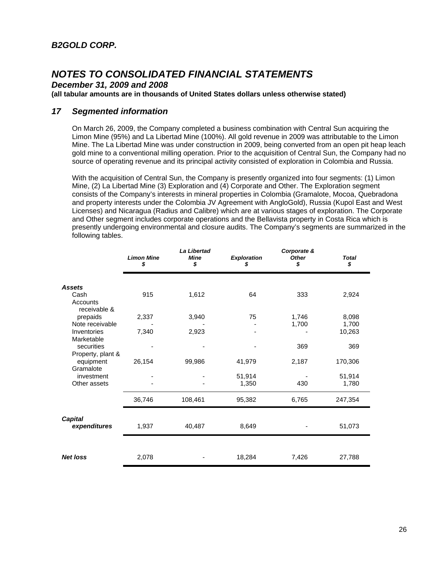*December 31, 2009 and 2008* 

**(all tabular amounts are in thousands of United States dollars unless otherwise stated)**

### *17 Segmented information*

On March 26, 2009, the Company completed a business combination with Central Sun acquiring the Limon Mine (95%) and La Libertad Mine (100%). All gold revenue in 2009 was attributable to the Limon Mine. The La Libertad Mine was under construction in 2009, being converted from an open pit heap leach gold mine to a conventional milling operation. Prior to the acquisition of Central Sun, the Company had no source of operating revenue and its principal activity consisted of exploration in Colombia and Russia.

With the acquisition of Central Sun, the Company is presently organized into four segments: (1) Limon Mine, (2) La Libertad Mine (3) Exploration and (4) Corporate and Other. The Exploration segment consists of the Company's interests in mineral properties in Colombia (Gramalote, Mocoa, Quebradona and property interests under the Colombia JV Agreement with AngloGold), Russia (Kupol East and West Licenses) and Nicaragua (Radius and Calibre) which are at various stages of exploration. The Corporate and Other segment includes corporate operations and the Bellavista property in Costa Rica which is presently undergoing environmental and closure audits. The Company's segments are summarized in the following tables.

|                                                                         | <b>Limon Mine</b><br>\$ | <b>La Libertad</b><br><b>Mine</b><br>\$ | <b>Exploration</b><br>\$ | Corporate &<br><b>Other</b><br>\$ | <b>Total</b><br>\$       |
|-------------------------------------------------------------------------|-------------------------|-----------------------------------------|--------------------------|-----------------------------------|--------------------------|
| <b>Assets</b><br>Cash<br>Accounts                                       | 915                     | 1,612                                   | 64                       | 333                               | 2,924                    |
| receivable &<br>prepaids<br>Note receivable<br>Inventories              | 2,337<br>7,340          | 3,940<br>2,923                          | 75                       | 1,746<br>1,700                    | 8,098<br>1,700<br>10,263 |
| Marketable<br>securities<br>Property, plant &<br>equipment<br>Gramalote | 26,154                  | 99,986                                  | 41,979                   | 369<br>2,187                      | 369<br>170,306           |
| investment<br>Other assets                                              |                         |                                         | 51,914<br>1,350          | 430                               | 51,914<br>1,780          |
| <b>Capital</b>                                                          | 36,746                  | 108,461                                 | 95,382                   | 6,765                             | 247,354                  |
| expenditures                                                            | 1,937                   | 40,487                                  | 8,649                    |                                   | 51,073                   |
| <b>Net loss</b>                                                         | 2,078                   |                                         | 18,284                   | 7,426                             | 27,788                   |